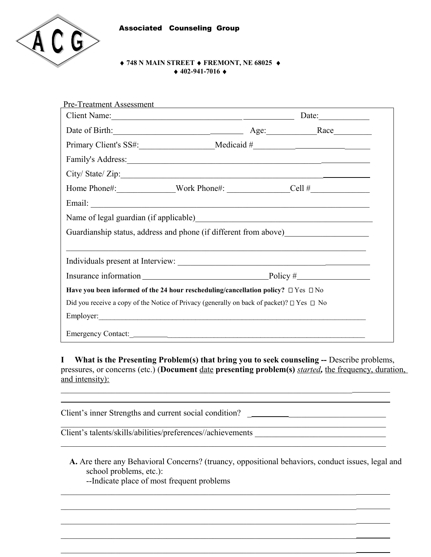

 $\overline{a}$ 

### **748 N MAIN STREET FREMONT, NE 68025 402-941-7016**

| Pre-Treatment Assessment                                                                                                                                                                                                                    |  |  |
|---------------------------------------------------------------------------------------------------------------------------------------------------------------------------------------------------------------------------------------------|--|--|
| Client Name: Date:                                                                                                                                                                                                                          |  |  |
| Date of Birth: Race Race                                                                                                                                                                                                                    |  |  |
|                                                                                                                                                                                                                                             |  |  |
|                                                                                                                                                                                                                                             |  |  |
|                                                                                                                                                                                                                                             |  |  |
| Home Phone#: Work Phone#: Cell #                                                                                                                                                                                                            |  |  |
|                                                                                                                                                                                                                                             |  |  |
| Name of legal guardian (if applicable)<br><u>Legal</u> contract to the set of legal guardian (if applicable)<br><u>Legal</u> contract to the set of the set of the set of the set of the set of the set of the set of the set of the set of |  |  |
| Guardianship status, address and phone (if different from above)________________                                                                                                                                                            |  |  |
|                                                                                                                                                                                                                                             |  |  |
|                                                                                                                                                                                                                                             |  |  |
|                                                                                                                                                                                                                                             |  |  |
| Have you been informed of the 24 hour rescheduling/cancellation policy? $\Box$ Yes $\Box$ No                                                                                                                                                |  |  |
| Did you receive a copy of the Notice of Privacy (generally on back of packet)? $\Box$ Yes $\Box$ No                                                                                                                                         |  |  |
|                                                                                                                                                                                                                                             |  |  |
|                                                                                                                                                                                                                                             |  |  |

**I** What is the Presenting Problem(s) that bring you to seek counseling -- Describe problems, pressures, or concerns (etc.) (**Document** date **presenting problem(s)** *started,* the frequency, duration, and intensity):  $\mathcal{L}_\mathcal{L} = \{ \mathcal{L}_\mathcal{L} = \{ \mathcal{L}_\mathcal{L} = \{ \mathcal{L}_\mathcal{L} = \{ \mathcal{L}_\mathcal{L} = \{ \mathcal{L}_\mathcal{L} = \{ \mathcal{L}_\mathcal{L} = \{ \mathcal{L}_\mathcal{L} = \{ \mathcal{L}_\mathcal{L} = \{ \mathcal{L}_\mathcal{L} = \{ \mathcal{L}_\mathcal{L} = \{ \mathcal{L}_\mathcal{L} = \{ \mathcal{L}_\mathcal{L} = \{ \mathcal{L}_\mathcal{L} = \{ \mathcal{L}_\mathcal{$ 

Client's inner Strengths and current social condition? \_ \_\_\_\_\_\_\_\_\_\_\_\_\_\_\_\_\_\_\_\_\_\_\_

Client's talents/skills/abilities/preferences//achievements

 **A.** Are there any Behavioral Concerns? (truancy, oppositional behaviors, conduct issues, legal and school problems, etc.): --Indicate place of most frequent problems

 $\_$  , and the contribution of the contribution of the contribution of the contribution of  $\mathcal{L}_\text{max}$ 

 $\_$  , and the contribution of the contribution of  $\mathcal{L}_\mathcal{A}$  , and the contribution of  $\mathcal{L}_\mathcal{A}$ 

 $\mathcal{L}_\mathcal{L} = \mathcal{L}_\mathcal{L} = \mathcal{L}_\mathcal{L} = \mathcal{L}_\mathcal{L} = \mathcal{L}_\mathcal{L} = \mathcal{L}_\mathcal{L} = \mathcal{L}_\mathcal{L} = \mathcal{L}_\mathcal{L} = \mathcal{L}_\mathcal{L} = \mathcal{L}_\mathcal{L} = \mathcal{L}_\mathcal{L} = \mathcal{L}_\mathcal{L} = \mathcal{L}_\mathcal{L} = \mathcal{L}_\mathcal{L} = \mathcal{L}_\mathcal{L} = \mathcal{L}_\mathcal{L} = \mathcal{L}_\mathcal{L}$ 

 $\_$  , and the set of the set of the set of the set of the set of the set of the set of the set of the set of the set of the set of the set of the set of the set of the set of the set of the set of the set of the set of th

 $\_$  , and the contribution of the contribution of  $\mathcal{L}_\mathcal{A}$  , and the contribution of  $\mathcal{L}_\mathcal{A}$ 

1

\_\_\_\_\_\_\_\_\_\_\_\_\_\_\_\_\_\_\_\_\_\_\_\_\_\_\_\_\_\_\_\_\_\_\_\_\_\_\_\_\_\_\_\_\_\_\_\_\_\_\_\_\_\_\_\_\_\_\_\_\_\_\_\_\_\_\_\_\_\_\_\_\_\_\_\_\_

 $\mathcal{L}_\text{max}$  and the contribution of the contribution of the contribution of the contribution of the contribution of the contribution of the contribution of the contribution of the contribution of the contribution of the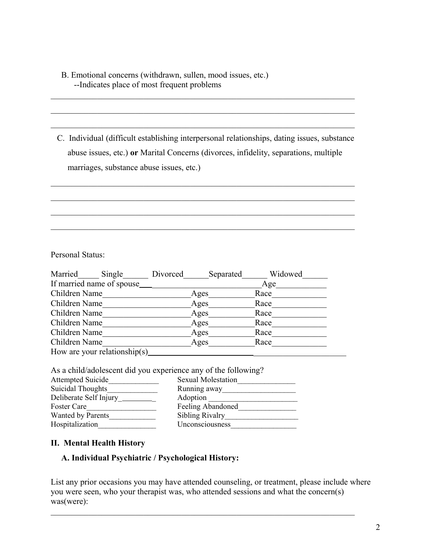# B. Emotional concerns (withdrawn, sullen, mood issues, etc.) --Indicates place of most frequent problems

 C. Individual (difficult establishing interpersonal relationships, dating issues, substance abuse issues, etc.) **or** Marital Concerns (divorces, infidelity, separations, multiple marriages, substance abuse issues, etc.)

 $\mathcal{L}_\text{max}$  , and the contribution of the contribution of the contribution of the contribution of the contribution of the contribution of the contribution of the contribution of the contribution of the contribution of t

 $\mathcal{L}_\text{max}$  , and the contribution of the contribution of the contribution of the contribution of the contribution of the contribution of the contribution of the contribution of the contribution of the contribution of t

 $\mathcal{L}_\text{max} = \mathcal{L}_\text{max} = \mathcal{L}_\text{max} = \mathcal{L}_\text{max} = \mathcal{L}_\text{max} = \mathcal{L}_\text{max} = \mathcal{L}_\text{max} = \mathcal{L}_\text{max} = \mathcal{L}_\text{max} = \mathcal{L}_\text{max} = \mathcal{L}_\text{max} = \mathcal{L}_\text{max} = \mathcal{L}_\text{max} = \mathcal{L}_\text{max} = \mathcal{L}_\text{max} = \mathcal{L}_\text{max} = \mathcal{L}_\text{max} = \mathcal{L}_\text{max} = \mathcal{$ 

 $\mathcal{L}_\text{max}$  , and the contribution of the contribution of the contribution of the contribution of the contribution of the contribution of the contribution of the contribution of the contribution of the contribution of t

 $\mathcal{L}_\text{max}$  , and the contribution of the contribution of the contribution of the contribution of the contribution of the contribution of the contribution of the contribution of the contribution of the contribution of t

 $\mathcal{L}_\text{max}$  , and the contribution of the contribution of the contribution of the contribution of the contribution of the contribution of the contribution of the contribution of the contribution of the contribution of t

 $\mathcal{L}_\text{max}$  , and the contribution of the contribution of the contribution of the contribution of the contribution of the contribution of the contribution of the contribution of the contribution of the contribution of t

Personal Status:

| Married                    | Single                        | Divorced | Separated | Widowed |
|----------------------------|-------------------------------|----------|-----------|---------|
| If married name of spouse_ |                               |          |           | Age     |
| Children Name              |                               |          | Ages      | Race    |
| Children Name              |                               |          | Ages      | Race    |
| Children Name              |                               |          | Ages      | Race    |
| Children Name              |                               |          | Ages      | Race    |
| Children Name              |                               |          | Ages      | Race    |
| Children Name              |                               |          | Ages      | Race    |
|                            | How are your relationship(s). |          |           |         |

As a child/adolescent did you experience any of the following?

| <b>Attempted Suicide</b> | <b>Sexual Molestation</b> |
|--------------------------|---------------------------|
| Suicidal Thoughts        | Running away              |
| Deliberate Self Injury   | Adoption                  |
| Foster Care              | Feeling Abandoned         |
| Wanted by Parents        | Sibling Rivalry           |
| Hospitalization          | Unconsciousness           |

### **II. Mental Health History**

## **A. Individual Psychiatric / Psychological History:**

List any prior occasions you may have attended counseling, or treatment, please include where you were seen, who your therapist was, who attended sessions and what the concern(s) was(were):

 $\mathcal{L}_\text{max} = \mathcal{L}_\text{max} = \mathcal{L}_\text{max} = \mathcal{L}_\text{max} = \mathcal{L}_\text{max} = \mathcal{L}_\text{max} = \mathcal{L}_\text{max} = \mathcal{L}_\text{max} = \mathcal{L}_\text{max} = \mathcal{L}_\text{max} = \mathcal{L}_\text{max} = \mathcal{L}_\text{max} = \mathcal{L}_\text{max} = \mathcal{L}_\text{max} = \mathcal{L}_\text{max} = \mathcal{L}_\text{max} = \mathcal{L}_\text{max} = \mathcal{L}_\text{max} = \mathcal{$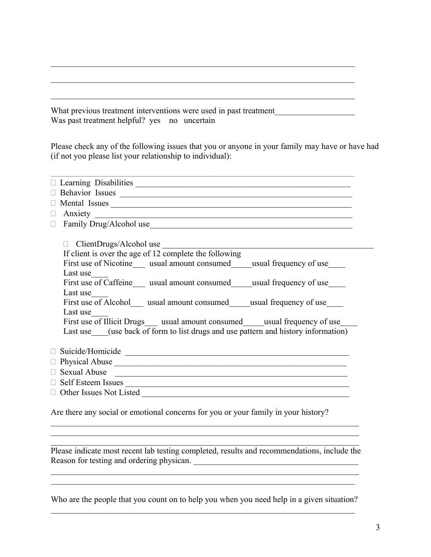What previous treatment interventions were used in past treatment Was past treatment helpful? yes no uncertain

Please check any of the following issues that you or anyone in your family may have or have had (if not you please list your relationship to individual):

 $\mathcal{L}_\text{max}$  , and the contribution of the contribution of the contribution of the contribution of the contribution of the contribution of the contribution of the contribution of the contribution of the contribution of t

 $\mathcal{L}_\text{max} = \mathcal{L}_\text{max} = \mathcal{L}_\text{max} = \mathcal{L}_\text{max} = \mathcal{L}_\text{max} = \mathcal{L}_\text{max} = \mathcal{L}_\text{max} = \mathcal{L}_\text{max} = \mathcal{L}_\text{max} = \mathcal{L}_\text{max} = \mathcal{L}_\text{max} = \mathcal{L}_\text{max} = \mathcal{L}_\text{max} = \mathcal{L}_\text{max} = \mathcal{L}_\text{max} = \mathcal{L}_\text{max} = \mathcal{L}_\text{max} = \mathcal{L}_\text{max} = \mathcal{$ 

 $\mathcal{L}_\text{max}$  , and the contribution of the contribution of the contribution of the contribution of the contribution of the contribution of the contribution of the contribution of the contribution of the contribution of t

| Behavior Issues Latin and Communication of the Communication of the Communication of the Communication of the Communication of the Communication of the Communication of the Communication of the Communication of the Communi |
|--------------------------------------------------------------------------------------------------------------------------------------------------------------------------------------------------------------------------------|
| Mental Issues<br>П                                                                                                                                                                                                             |
| П                                                                                                                                                                                                                              |
| $\Box$                                                                                                                                                                                                                         |
|                                                                                                                                                                                                                                |
|                                                                                                                                                                                                                                |
| If client is over the age of 12 complete the following                                                                                                                                                                         |
| First use of Nicotine___ usual amount consumed____usual frequency of use____                                                                                                                                                   |
| Last use                                                                                                                                                                                                                       |
| First use of Caffeine usual amount consumed usual frequency of use                                                                                                                                                             |
| Last use                                                                                                                                                                                                                       |
| First use of Alcohol __ usual amount consumed _____ usual frequency of use                                                                                                                                                     |
| Last use                                                                                                                                                                                                                       |
| First use of Illicit Drugs usual amount consumed usual frequency of use                                                                                                                                                        |
| Last use (use back of form to list drugs and use pattern and history information)                                                                                                                                              |
|                                                                                                                                                                                                                                |
|                                                                                                                                                                                                                                |
|                                                                                                                                                                                                                                |
| Sexual Abuse 2008                                                                                                                                                                                                              |
| Self Esteem Issues                                                                                                                                                                                                             |
| $\Box$                                                                                                                                                                                                                         |
|                                                                                                                                                                                                                                |
| Are there any social or emotional concerns for you or your family in your history?                                                                                                                                             |

 $\mathcal{L}_\mathcal{L} = \{ \mathcal{L}_\mathcal{L} = \{ \mathcal{L}_\mathcal{L} = \{ \mathcal{L}_\mathcal{L} = \{ \mathcal{L}_\mathcal{L} = \{ \mathcal{L}_\mathcal{L} = \{ \mathcal{L}_\mathcal{L} = \{ \mathcal{L}_\mathcal{L} = \{ \mathcal{L}_\mathcal{L} = \{ \mathcal{L}_\mathcal{L} = \{ \mathcal{L}_\mathcal{L} = \{ \mathcal{L}_\mathcal{L} = \{ \mathcal{L}_\mathcal{L} = \{ \mathcal{L}_\mathcal{L} = \{ \mathcal{L}_\mathcal{$ Please indicate most recent lab testing completed, results and recommendations, include the Reason for testing and ordering physican. \_\_\_\_\_\_\_\_\_\_\_\_\_\_\_\_\_\_\_\_\_\_\_\_\_\_\_\_\_\_\_\_\_\_\_\_\_\_\_

 $\mathcal{L}_\text{max} = \mathcal{L}_\text{max} = \mathcal{L}_\text{max} = \mathcal{L}_\text{max} = \mathcal{L}_\text{max} = \mathcal{L}_\text{max} = \mathcal{L}_\text{max} = \mathcal{L}_\text{max} = \mathcal{L}_\text{max} = \mathcal{L}_\text{max} = \mathcal{L}_\text{max} = \mathcal{L}_\text{max} = \mathcal{L}_\text{max} = \mathcal{L}_\text{max} = \mathcal{L}_\text{max} = \mathcal{L}_\text{max} = \mathcal{L}_\text{max} = \mathcal{L}_\text{max} = \mathcal{$ 

 $\mathcal{L}_\mathcal{L} = \{ \mathcal{L}_\mathcal{L} = \{ \mathcal{L}_\mathcal{L} = \{ \mathcal{L}_\mathcal{L} = \{ \mathcal{L}_\mathcal{L} = \{ \mathcal{L}_\mathcal{L} = \{ \mathcal{L}_\mathcal{L} = \{ \mathcal{L}_\mathcal{L} = \{ \mathcal{L}_\mathcal{L} = \{ \mathcal{L}_\mathcal{L} = \{ \mathcal{L}_\mathcal{L} = \{ \mathcal{L}_\mathcal{L} = \{ \mathcal{L}_\mathcal{L} = \{ \mathcal{L}_\mathcal{L} = \{ \mathcal{L}_\mathcal{$  $\mathcal{L}_\text{max} = \mathcal{L}_\text{max} = \mathcal{L}_\text{max} = \mathcal{L}_\text{max} = \mathcal{L}_\text{max} = \mathcal{L}_\text{max} = \mathcal{L}_\text{max} = \mathcal{L}_\text{max} = \mathcal{L}_\text{max} = \mathcal{L}_\text{max} = \mathcal{L}_\text{max} = \mathcal{L}_\text{max} = \mathcal{L}_\text{max} = \mathcal{L}_\text{max} = \mathcal{L}_\text{max} = \mathcal{L}_\text{max} = \mathcal{L}_\text{max} = \mathcal{L}_\text{max} = \mathcal{$ 

Who are the people that you count on to help you when you need help in a given situation?  $\mathcal{L}_\text{max}$  , and the contribution of the contribution of the contribution of the contribution of the contribution of the contribution of the contribution of the contribution of the contribution of the contribution of t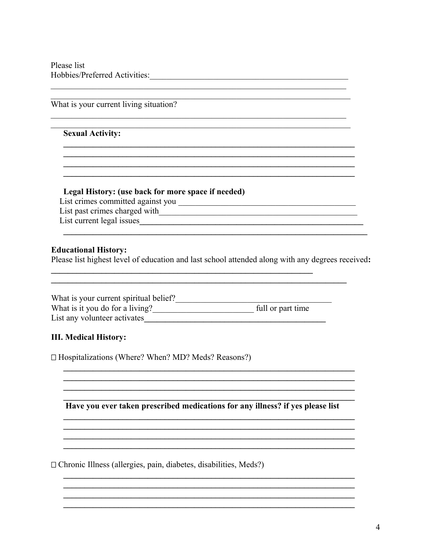Please list Hobbies/Preferred Activities: Notes

## What is your current living situation?

#### **Sexual Activity:**

#### Legal History: (use back for more space if needed)

List past crimes charged with <u>the contract of the contract of the contract of the contract of the contract of the contract of the contract of the contract of the contract of the contract of the contract of the contract of</u> List current legal issues

### **Educational History:**

Please list highest level of education and last school attended along with any degrees received:

| What is your current spiritual belief? |                   |
|----------------------------------------|-------------------|
| What is it you do for a living?        | full or part time |
| List any volunteer activates           |                   |

#### **III. Medical History:**

 $\Box$  Hospitalizations (Where? When? MD? Meds? Reasons?)

Have you ever taken prescribed medications for any illness? if yes please list

 $\Box$  Chronic Illness (allergies, pain, diabetes, disabilities, Meds?)